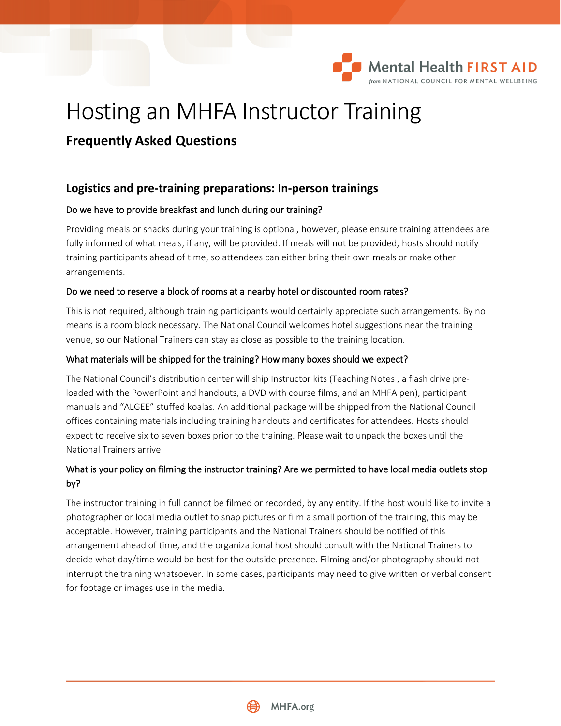

# Hosting an MHFA Instructor Training

## **Frequently Asked Questions**

## **Logistics and pre-training preparations: In-person trainings**

## Do we have to provide breakfast and lunch during our training?

Providing meals or snacks during your training is optional, however, please ensure training attendees are fully informed of what meals, if any, will be provided. If meals will not be provided, hosts should notify training participants ahead of time, so attendees can either bring their own meals or make other arrangements.

## Do we need to reserve a block of rooms at a nearby hotel or discounted room rates?

This is not required, although training participants would certainly appreciate such arrangements. By no means is a room block necessary. The National Council welcomes hotel suggestions near the training venue, so our National Trainers can stay as close as possible to the training location.

## What materials will be shipped for the training? How many boxes should we expect?

The National Council's distribution center will ship Instructor kits (Teaching Notes , a flash drive preloaded with the PowerPoint and handouts, a DVD with course films, and an MHFA pen), participant manuals and "ALGEE" stuffed koalas. An additional package will be shipped from the National Council offices containing materials including training handouts and certificates for attendees. Hosts should expect to receive six to seven boxes prior to the training. Please wait to unpack the boxes until the National Trainers arrive.

## What is your policy on filming the instructor training? Are we permitted to have local media outlets stop by?

The instructor training in full cannot be filmed or recorded, by any entity. If the host would like to invite a photographer or local media outlet to snap pictures or film a small portion of the training, this may be acceptable. However, training participants and the National Trainers should be notified of this arrangement ahead of time, and the organizational host should consult with the National Trainers to decide what day/time would be best for the outside presence. Filming and/or photography should not interrupt the training whatsoever. In some cases, participants may need to give written or verbal consent for footage or images use in the media.

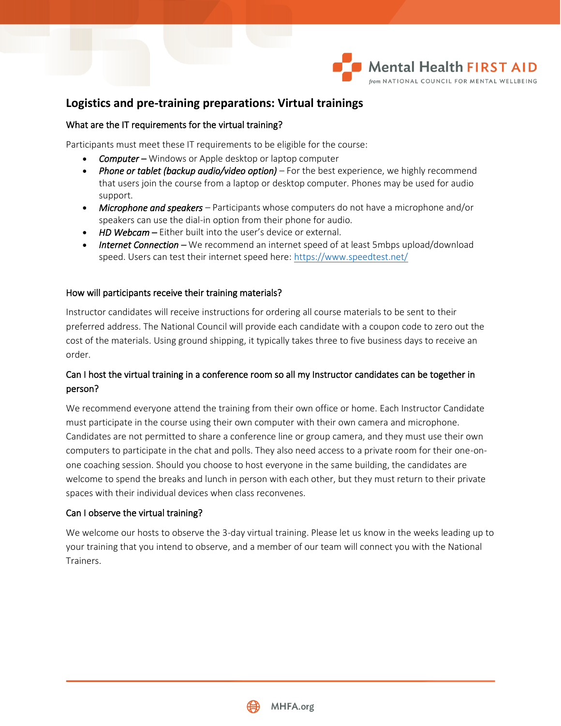

## **Logistics and pre-training preparations: Virtual trainings**

### What are the IT requirements for the virtual training?

Participants must meet these IT requirements to be eligible for the course:

- *Computer* Windows or Apple desktop or laptop computer
- *Phone or tablet (backup audio/video option)* For the best experience, we highly recommend that users join the course from a laptop or desktop computer. Phones may be used for audio support.
- *Microphone and speakers –* Participants whose computers do not have a microphone and/or speakers can use the dial-in option from their phone for audio.
- *HD Webcam* Either built into the user's device or external.
- *Internet Connection –* We recommend an internet speed of at least 5mbps upload/download speed. Users can test their internet speed here:<https://www.speedtest.net/>

#### How will participants receive their training materials?

Instructor candidates will receive instructions for ordering all course materials to be sent to their preferred address. The National Council will provide each candidate with a coupon code to zero out the cost of the materials. Using ground shipping, it typically takes three to five business days to receive an order.

## Can I host the virtual training in a conference room so all my Instructor candidates can be together in person?

We recommend everyone attend the training from their own office or home. Each Instructor Candidate must participate in the course using their own computer with their own camera and microphone. Candidates are not permitted to share a conference line or group camera, and they must use their own computers to participate in the chat and polls. They also need access to a private room for their one-onone coaching session. Should you choose to host everyone in the same building, the candidates are welcome to spend the breaks and lunch in person with each other, but they must return to their private spaces with their individual devices when class reconvenes.

### Can I observe the virtual training?

We welcome our hosts to observe the 3-day virtual training. Please let us know in the weeks leading up to your training that you intend to observe, and a member of our team will connect you with the National Trainers.

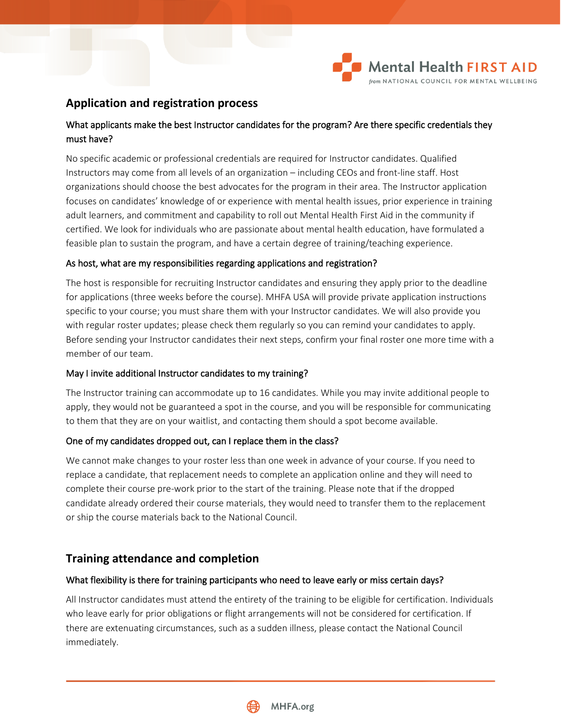

## **Application and registration process**

## What applicants make the best Instructor candidates for the program? Are there specific credentials they must have?

No specific academic or professional credentials are required for Instructor candidates. Qualified Instructors may come from all levels of an organization – including CEOs and front-line staff. Host organizations should choose the best advocates for the program in their area. The Instructor application focuses on candidates' knowledge of or experience with mental health issues, prior experience in training adult learners, and commitment and capability to roll out Mental Health First Aid in the community if certified. We look for individuals who are passionate about mental health education, have formulated a feasible plan to sustain the program, and have a certain degree of training/teaching experience.

### As host, what are my responsibilities regarding applications and registration?

The host is responsible for recruiting Instructor candidates and ensuring they apply prior to the deadline for applications (three weeks before the course). MHFA USA will provide private application instructions specific to your course; you must share them with your Instructor candidates. We will also provide you with regular roster updates; please check them regularly so you can remind your candidates to apply. Before sending your Instructor candidates their next steps, confirm your final roster one more time with a member of our team.

### May I invite additional Instructor candidates to my training?

The Instructor training can accommodate up to 16 candidates. While you may invite additional people to apply, they would not be guaranteed a spot in the course, and you will be responsible for communicating to them that they are on your waitlist, and contacting them should a spot become available.

### One of my candidates dropped out, can I replace them in the class?

We cannot make changes to your roster less than one week in advance of your course. If you need to replace a candidate, that replacement needs to complete an application online and they will need to complete their course pre-work prior to the start of the training. Please note that if the dropped candidate already ordered their course materials, they would need to transfer them to the replacement or ship the course materials back to the National Council.

## **Training attendance and completion**

### What flexibility is there for training participants who need to leave early or miss certain days?

All Instructor candidates must attend the entirety of the training to be eligible for certification. Individuals who leave early for prior obligations or flight arrangements will not be considered for certification. If there are extenuating circumstances, such as a sudden illness, please contact the National Council immediately.

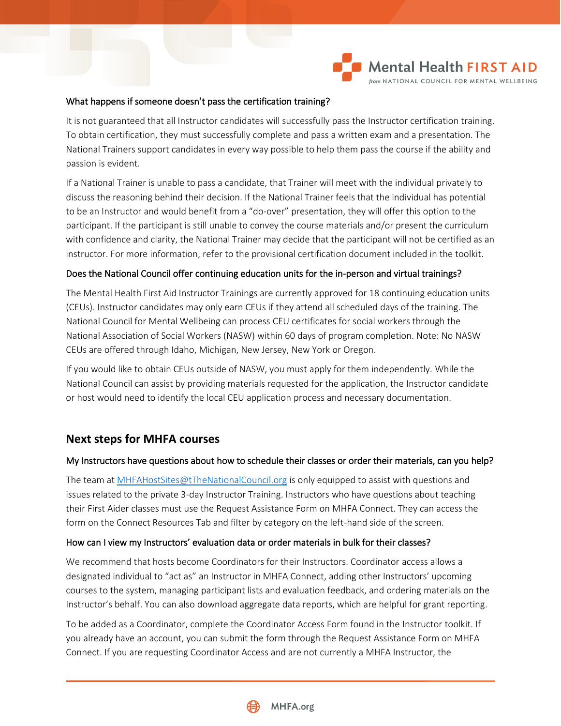

#### What happens if someone doesn't pass the certification training?

It is not guaranteed that all Instructor candidates will successfully pass the Instructor certification training. To obtain certification, they must successfully complete and pass a written exam and a presentation. The National Trainers support candidates in every way possible to help them pass the course if the ability and passion is evident.

If a National Trainer is unable to pass a candidate, that Trainer will meet with the individual privately to discuss the reasoning behind their decision. If the National Trainer feels that the individual has potential to be an Instructor and would benefit from a "do-over" presentation, they will offer this option to the participant. If the participant is still unable to convey the course materials and/or present the curriculum with confidence and clarity, the National Trainer may decide that the participant will not be certified as an instructor. For more information, refer to the provisional certification document included in the toolkit.

#### Does the National Council offer continuing education units for the in-person and virtual trainings?

The Mental Health First Aid Instructor Trainings are currently approved for 18 continuing education units (CEUs). Instructor candidates may only earn CEUs if they attend all scheduled days of the training. The National Council for Mental Wellbeing can process CEU certificates for social workers through the National Association of Social Workers (NASW) within 60 days of program completion. Note: No NASW CEUs are offered through Idaho, Michigan, New Jersey, New York or Oregon.

If you would like to obtain CEUs outside of NASW, you must apply for them independently. While the National Council can assist by providing materials requested for the application, the Instructor candidate or host would need to identify the local CEU application process and necessary documentation.

## **Next steps for MHFA courses**

#### My Instructors have questions about how to schedule their classes or order their materials, can you help?

The team a[t MHFAHostSites@tTheNationalCouncil.org](mailto:MHFAHostSites@tTheNationalCouncil.org) is only equipped to assist with questions and issues related to the private 3-day Instructor Training. Instructors who have questions about teaching their First Aider classes must use the Request Assistance Form on MHFA Connect. They can access the form on the Connect Resources Tab and filter by category on the left-hand side of the screen.

#### How can I view my Instructors' evaluation data or order materials in bulk for their classes?

We recommend that hosts become Coordinators for their Instructors. Coordinator access allows a designated individual to "act as" an Instructor in MHFA Connect, adding other Instructors' upcoming courses to the system, managing participant lists and evaluation feedback, and ordering materials on the Instructor's behalf. You can also download aggregate data reports, which are helpful for grant reporting.

To be added as a Coordinator, complete the Coordinator Access Form found in the Instructor toolkit. If you already have an account, you can submit the form through the Request Assistance Form on MHFA Connect. If you are requesting Coordinator Access and are not currently a MHFA Instructor, the